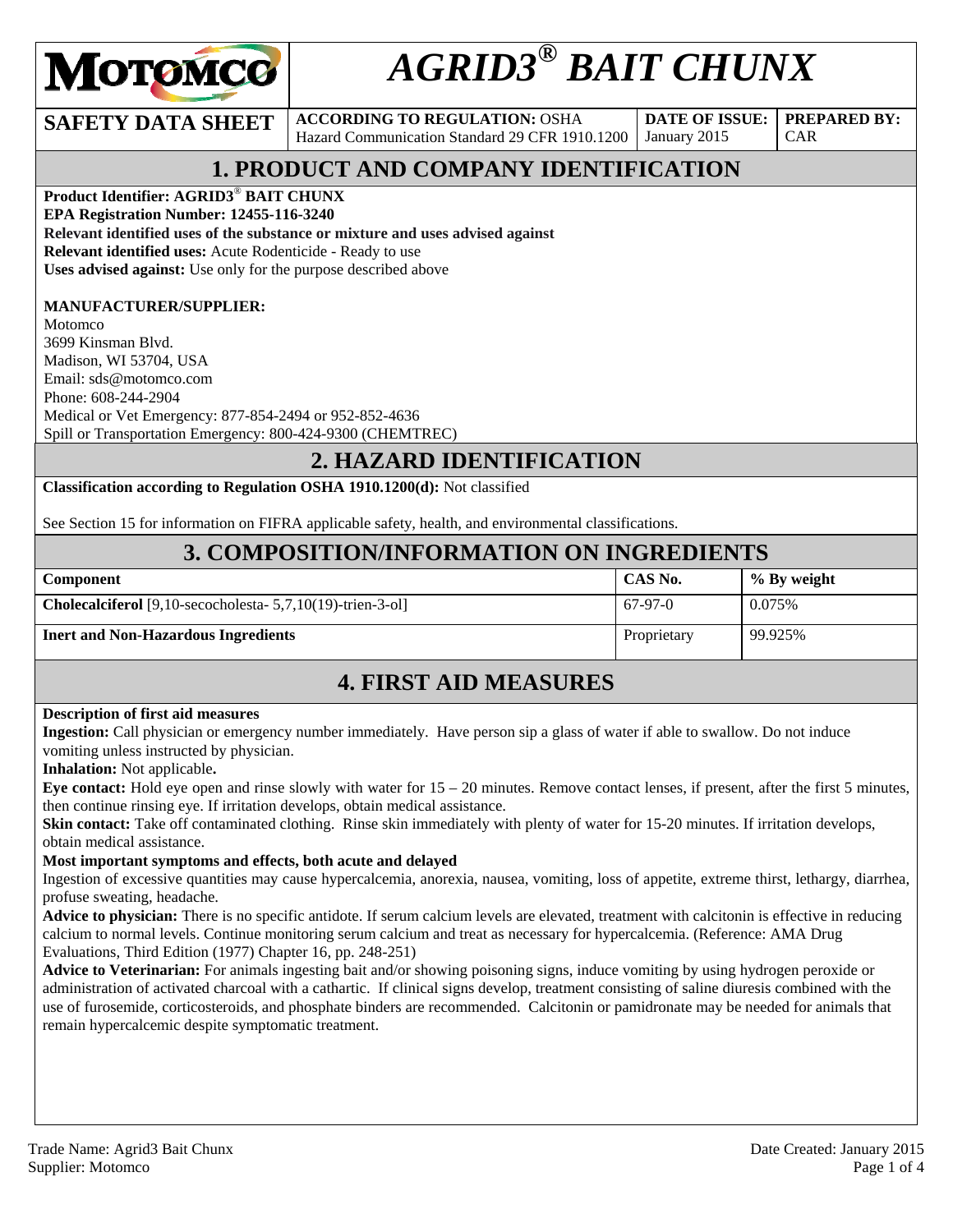

# *AGRID3® BAIT CHUNX*

**SAFETY DATA SHEET** ACCORDING TO REGULATION: OSHA Hazard Communication Standard 29 CFR 1910.1200

**DATE OF ISSUE:**  January 2015

CAR

**PREPARED BY:** 

### **1. PRODUCT AND COMPANY IDENTIFICATION**

**Product Identifier: AGRID3**® **BAIT CHUNX** 

**EPA Registration Number: 12455-116-3240** 

**Relevant identified uses of the substance or mixture and uses advised against**

**Relevant identified uses:** Acute Rodenticide - Ready to use

**Uses advised against:** Use only for the purpose described above

### **MANUFACTURER/SUPPLIER:**

Motomco 3699 Kinsman Blvd. Madison, WI 53704, USA Email: sds@motomco.com Phone: 608-244-2904 Medical or Vet Emergency: 877-854-2494 or 952-852-4636 Spill or Transportation Emergency: 800-424-9300 (CHEMTREC)

### **2. HAZARD IDENTIFICATION**

**Classification according to Regulation OSHA 1910.1200(d):** Not classified

See Section 15 for information on FIFRA applicable safety, health, and environmental classifications.

### **3. COMPOSITION/INFORMATION ON INGREDIENTS**

| Component                                                            | CAS No.     | % By weight |
|----------------------------------------------------------------------|-------------|-------------|
| <b>Cholecalciferol</b> [9,10-secocholesta- $5,7,10(19)$ -trien-3-ol] | $67-97-0$   | 0.075%      |
| <b>Inert and Non-Hazardous Ingredients</b>                           | Proprietary | 99.925%     |

### **4. FIRST AID MEASURES**

#### **Description of first aid measures**

**Ingestion:** Call physician or emergency number immediately. Have person sip a glass of water if able to swallow. Do not induce vomiting unless instructed by physician.

**Inhalation:** Not applicable**.** 

**Eye contact:** Hold eye open and rinse slowly with water for 15 – 20 minutes. Remove contact lenses, if present, after the first 5 minutes, then continue rinsing eye. If irritation develops, obtain medical assistance.

**Skin contact:** Take off contaminated clothing. Rinse skin immediately with plenty of water for 15-20 minutes. If irritation develops, obtain medical assistance.

#### **Most important symptoms and effects, both acute and delayed**

Ingestion of excessive quantities may cause hypercalcemia, anorexia, nausea, vomiting, loss of appetite, extreme thirst, lethargy, diarrhea, profuse sweating, headache.

**Advice to physician:** There is no specific antidote. If serum calcium levels are elevated, treatment with calcitonin is effective in reducing calcium to normal levels. Continue monitoring serum calcium and treat as necessary for hypercalcemia. (Reference: AMA Drug Evaluations, Third Edition (1977) Chapter 16, pp. 248-251)

**Advice to Veterinarian:** For animals ingesting bait and/or showing poisoning signs, induce vomiting by using hydrogen peroxide or administration of activated charcoal with a cathartic. If clinical signs develop, treatment consisting of saline diuresis combined with the use of furosemide, corticosteroids, and phosphate binders are recommended. Calcitonin or pamidronate may be needed for animals that remain hypercalcemic despite symptomatic treatment.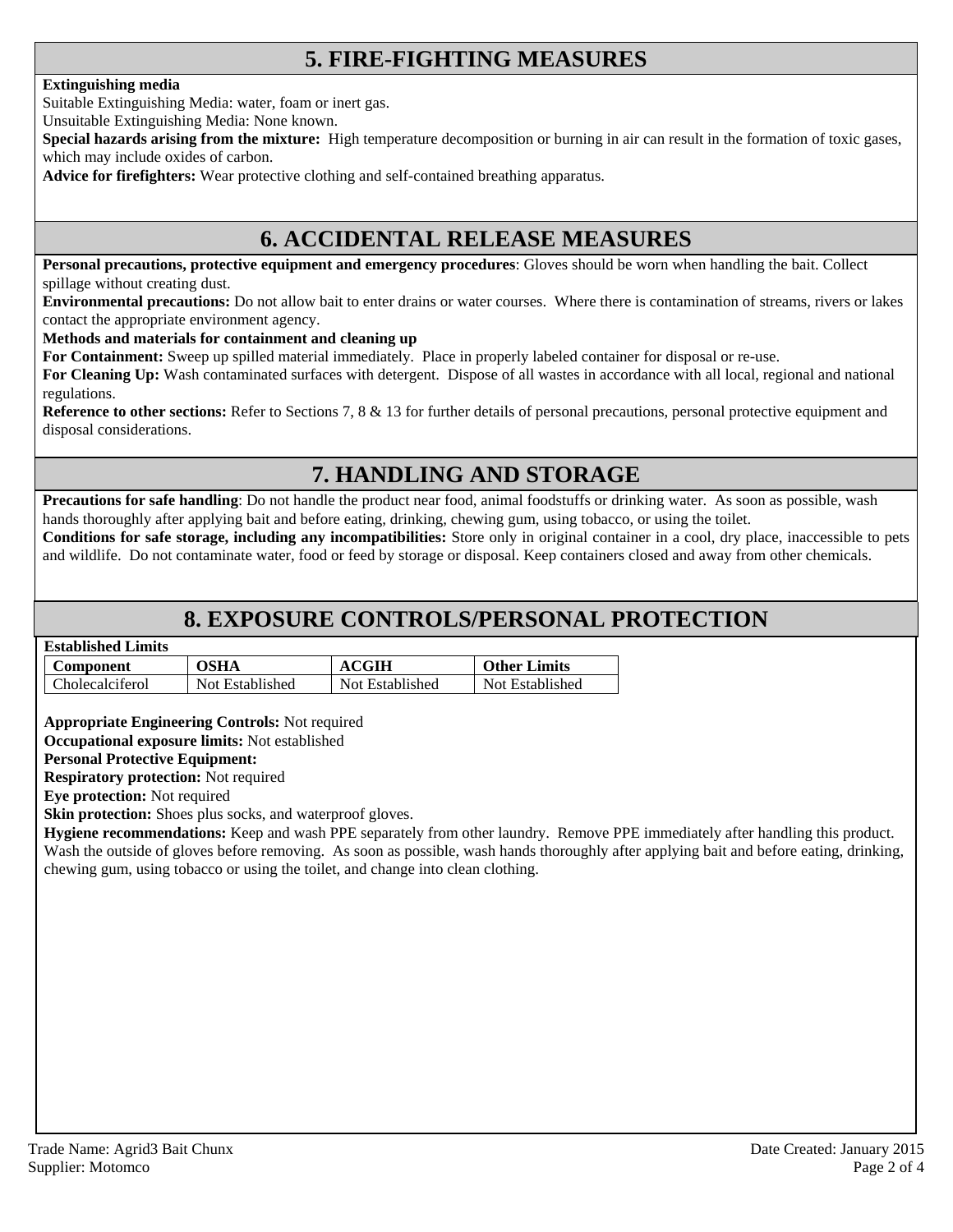### **5. FIRE-FIGHTING MEASURES**

#### **Extinguishing media**

Suitable Extinguishing Media: water, foam or inert gas.

Unsuitable Extinguishing Media: None known.

**Special hazards arising from the mixture:** High temperature decomposition or burning in air can result in the formation of toxic gases, which may include oxides of carbon.

**Advice for firefighters:** Wear protective clothing and self-contained breathing apparatus.

### **6. ACCIDENTAL RELEASE MEASURES**

**Personal precautions, protective equipment and emergency procedures**: Gloves should be worn when handling the bait. Collect spillage without creating dust.

**Environmental precautions:** Do not allow bait to enter drains or water courses. Where there is contamination of streams, rivers or lakes contact the appropriate environment agency.

**Methods and materials for containment and cleaning up**

**For Containment:** Sweep up spilled material immediately. Place in properly labeled container for disposal or re-use.

**For Cleaning Up:** Wash contaminated surfaces with detergent. Dispose of all wastes in accordance with all local, regional and national regulations.

**Reference to other sections:** Refer to Sections 7, 8 & 13 for further details of personal precautions, personal protective equipment and disposal considerations.

### **7. HANDLING AND STORAGE**

**Precautions for safe handling**: Do not handle the product near food, animal foodstuffs or drinking water. As soon as possible, wash hands thoroughly after applying bait and before eating, drinking, chewing gum, using tobacco, or using the toilet.

**Conditions for safe storage, including any incompatibilities:** Store only in original container in a cool, dry place, inaccessible to pets and wildlife. Do not contaminate water, food or feed by storage or disposal. Keep containers closed and away from other chemicals.

### **8. EXPOSURE CONTROLS/PERSONAL PROTECTION**

#### **Established Limits**

| Component              | <b>OSHA</b>     | <b>ACGIH</b>    | <b>Other Limits</b> |
|------------------------|-----------------|-----------------|---------------------|
| <b>Cholecalciferol</b> | Not Established | Not Established | Not Established     |

**Appropriate Engineering Controls:** Not required

**Occupational exposure limits:** Not established

#### **Personal Protective Equipment:**

**Respiratory protection:** Not required

**Eye protection:** Not required

**Skin protection:** Shoes plus socks, and waterproof gloves.

**Hygiene recommendations:** Keep and wash PPE separately from other laundry. Remove PPE immediately after handling this product. Wash the outside of gloves before removing. As soon as possible, wash hands thoroughly after applying bait and before eating, drinking, chewing gum, using tobacco or using the toilet, and change into clean clothing.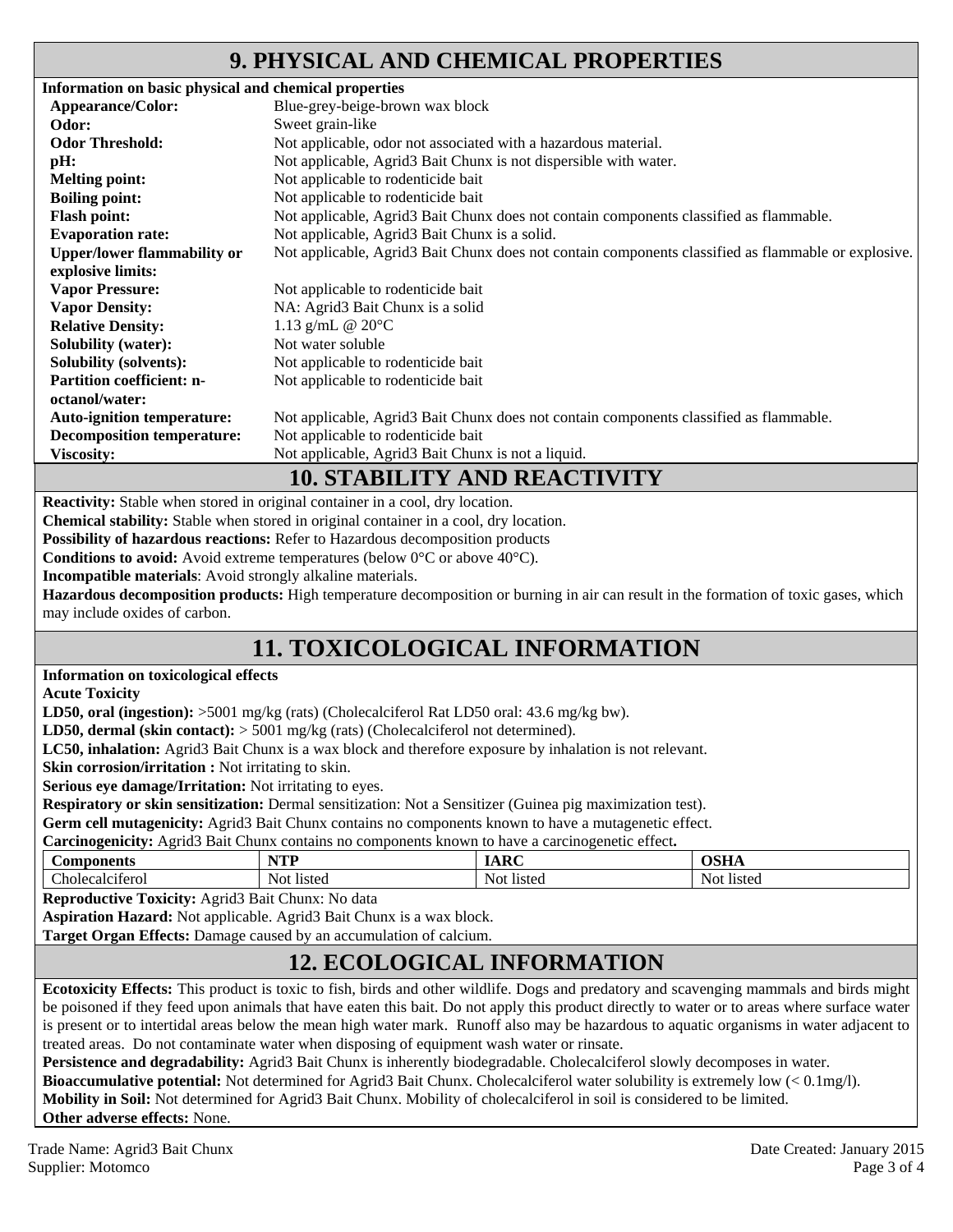### **9. PHYSICAL AND CHEMICAL PROPERTIES**

| Information on basic physical and chemical properties |                                                                                                     |
|-------------------------------------------------------|-----------------------------------------------------------------------------------------------------|
| Appearance/Color:                                     | Blue-grey-beige-brown wax block                                                                     |
| Odor:                                                 | Sweet grain-like                                                                                    |
| <b>Odor Threshold:</b>                                | Not applicable, odor not associated with a hazardous material.                                      |
| pH:                                                   | Not applicable, Agrid3 Bait Chunx is not dispersible with water.                                    |
| <b>Melting point:</b>                                 | Not applicable to rodenticide bait                                                                  |
| <b>Boiling point:</b>                                 | Not applicable to rodenticide bait                                                                  |
| <b>Flash point:</b>                                   | Not applicable, Agrid3 Bait Chunx does not contain components classified as flammable.              |
| <b>Evaporation rate:</b>                              | Not applicable, Agrid3 Bait Chunx is a solid.                                                       |
| <b>Upper/lower flammability or</b>                    | Not applicable, Agrid3 Bait Chunx does not contain components classified as flammable or explosive. |
| explosive limits:                                     |                                                                                                     |
| <b>Vapor Pressure:</b>                                | Not applicable to rodenticide bait                                                                  |
| <b>Vapor Density:</b>                                 | NA: Agrid3 Bait Chunx is a solid                                                                    |
| <b>Relative Density:</b>                              | 1.13 g/mL @ 20°C                                                                                    |
| <b>Solubility (water):</b>                            | Not water soluble                                                                                   |
| <b>Solubility (solvents):</b>                         | Not applicable to rodenticide bait                                                                  |
| <b>Partition coefficient: n-</b>                      | Not applicable to rodenticide bait                                                                  |
| octanol/water:                                        |                                                                                                     |
| <b>Auto-ignition temperature:</b>                     | Not applicable, Agrid3 Bait Chunx does not contain components classified as flammable.              |
| <b>Decomposition temperature:</b>                     | Not applicable to rodenticide bait                                                                  |
| <b>Viscosity:</b>                                     | Not applicable, Agrid3 Bait Chunx is not a liquid.                                                  |
|                                                       | <b>10. STABILITY AND REACTIVITY</b>                                                                 |

**Reactivity:** Stable when stored in original container in a cool, dry location.

**Chemical stability:** Stable when stored in original container in a cool, dry location.

**Possibility of hazardous reactions:** Refer to Hazardous decomposition products

**Conditions to avoid:** Avoid extreme temperatures (below 0°C or above 40°C).

**Incompatible materials**: Avoid strongly alkaline materials.

**Hazardous decomposition products:** High temperature decomposition or burning in air can result in the formation of toxic gases, which may include oxides of carbon.

## **11. TOXICOLOGICAL INFORMATION**

#### **Information on toxicological effects**

**Acute Toxicity** 

LD50, oral (ingestion):  $>5001$  mg/kg (rats) (Cholecalciferol Rat LD50 oral: 43.6 mg/kg bw).

**LD50, dermal (skin contact):** > 5001 mg/kg (rats) (Cholecalciferol not determined).

**LC50, inhalation:** Agrid3 Bait Chunx is a wax block and therefore exposure by inhalation is not relevant.

**Skin corrosion/irritation :** Not irritating to skin.

**Serious eye damage/Irritation:** Not irritating to eyes.

**Respiratory or skin sensitization:** Dermal sensitization: Not a Sensitizer (Guinea pig maximization test).

**Germ cell mutagenicity:** Agrid3 Bait Chunx contains no components known to have a mutagenetic effect.

**Carcinogenicity:** Agrid3 Bait Chunx contains no components known to have a carcinogenetic effect**.** 

| <b>Components</b>                       | NTD           | $\sim$               | $\sim$ $\sim$ $\sim$ |
|-----------------------------------------|---------------|----------------------|----------------------|
|                                         | .             | -                    | VULLA                |
| $\sim$<br><b>CHI</b><br>holecalciterol. | listed<br>NOI | Not<br><b>I</b> sted | listeg<br>N01        |

**Reproductive Toxicity:** Agrid3 Bait Chunx: No data

**Aspiration Hazard:** Not applicable. Agrid3 Bait Chunx is a wax block.

**Target Organ Effects:** Damage caused by an accumulation of calcium.

### **12. ECOLOGICAL INFORMATION**

**Ecotoxicity Effects:** This product is toxic to fish, birds and other wildlife. Dogs and predatory and scavenging mammals and birds might be poisoned if they feed upon animals that have eaten this bait. Do not apply this product directly to water or to areas where surface water is present or to intertidal areas below the mean high water mark. Runoff also may be hazardous to aquatic organisms in water adjacent to treated areas. Do not contaminate water when disposing of equipment wash water or rinsate.

**Persistence and degradability:** Agrid3 Bait Chunx is inherently biodegradable. Cholecalciferol slowly decomposes in water.

**Bioaccumulative potential:** Not determined for Agrid3 Bait Chunx. Cholecalciferol water solubility is extremely low (< 0.1mg/l).

**Mobility in Soil:** Not determined for Agrid3 Bait Chunx. Mobility of cholecalciferol in soil is considered to be limited.

**Other adverse effects:** None.